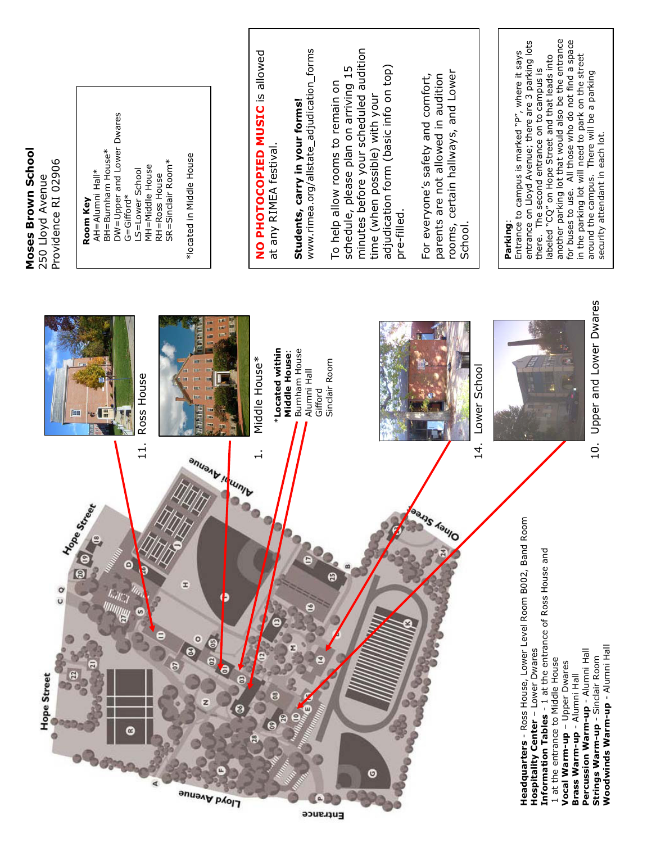

Moses Brown School

Entrance